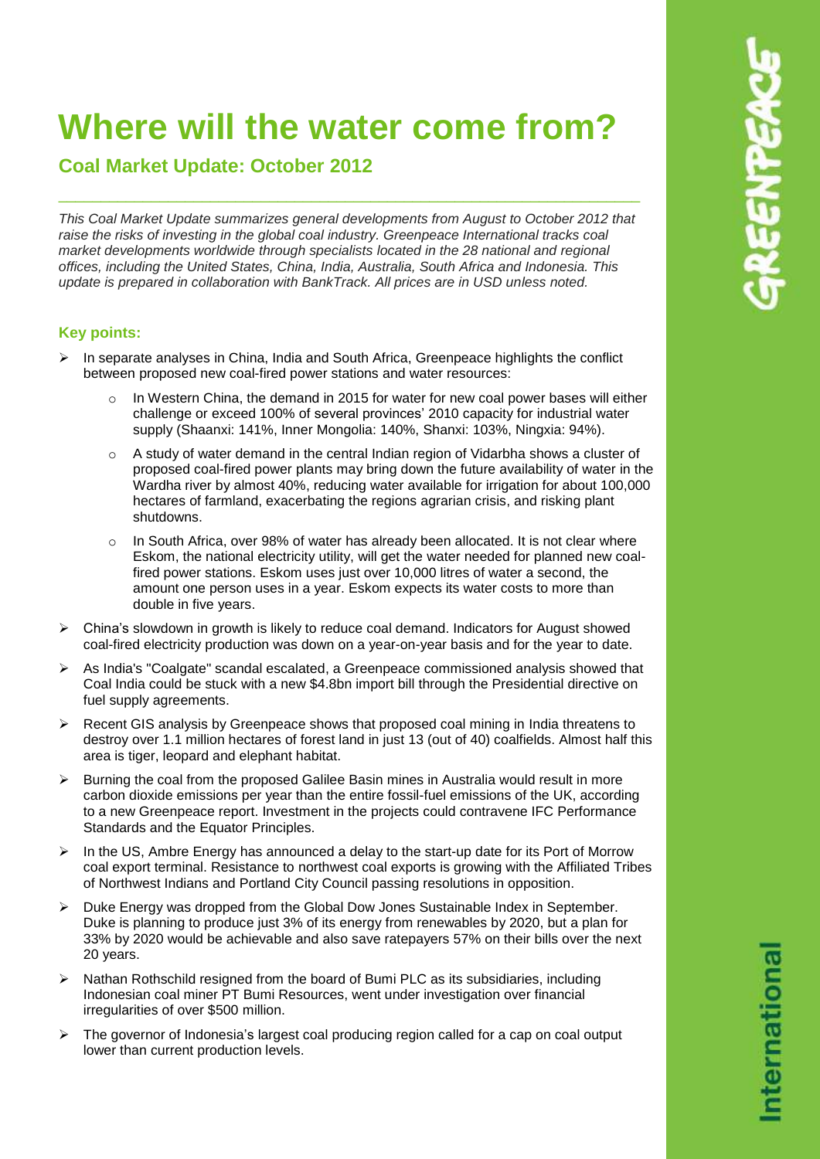# **Where will the water come from?**

# **Coal Market Update: October 2012**

*This Coal Market Update summarizes general developments from August to October 2012 that raise the risks of investing in the global coal industry. Greenpeace International tracks coal market developments worldwide through specialists located in the 28 national and regional offices, including the United States, China, India, Australia, South Africa and Indonesia. This update is prepared in collaboration with BankTrack. All prices are in USD unless noted.*

\_\_\_\_\_\_\_\_\_\_\_\_\_\_\_\_\_\_\_\_\_\_\_\_\_\_\_\_\_\_\_\_\_\_\_\_\_\_\_\_\_\_\_\_\_\_\_\_\_\_\_\_\_\_\_\_\_\_\_\_\_\_\_\_\_\_\_\_\_

# **Key points:**

- $\triangleright$  In separate analyses in China, India and South Africa, Greenpeace highlights the conflict between proposed new coal-fired power stations and water resources:
	- In Western China, the demand in 2015 for water for new coal power bases will either challenge or exceed 100% of several provinces' 2010 capacity for industrial water supply (Shaanxi: 141%, Inner Mongolia: 140%, Shanxi: 103%, Ningxia: 94%).
	- $\circ$  A study of water demand in the central Indian region of Vidarbha shows a cluster of proposed coal-fired power plants may bring down the future availability of water in the Wardha river by almost 40%, reducing water available for irrigation for about 100,000 hectares of farmland, exacerbating the regions agrarian crisis, and risking plant shutdowns.
	- $\circ$  In South Africa, over 98% of water has already been allocated. It is not clear where Eskom, the national electricity utility, will get the water needed for planned new coalfired power stations. Eskom uses just over 10,000 litres of water a second, the amount one person uses in a year. Eskom expects its water costs to more than double in five years.
- $\triangleright$  China's slowdown in growth is likely to reduce coal demand. Indicators for August showed coal-fired electricity production was down on a year-on-year basis and for the year to date.
- $\triangleright$  As India's "Coalgate" scandal escalated, a Greenpeace commissioned analysis showed that Coal India could be stuck with a new \$4.8bn import bill through the Presidential directive on fuel supply agreements.
- $\triangleright$  Recent GIS analysis by Greenpeace shows that proposed coal mining in India threatens to destroy over 1.1 million hectares of forest land in just 13 (out of 40) coalfields. Almost half this area is tiger, leopard and elephant habitat.
- $\triangleright$  Burning the coal from the proposed Galilee Basin mines in Australia would result in more carbon dioxide emissions per year than the entire fossil-fuel emissions of the UK, according to a new Greenpeace report. Investment in the projects could contravene IFC Performance Standards and the Equator Principles.
- $\triangleright$  In the US, Ambre Energy has announced a delay to the start-up date for its Port of Morrow coal export terminal. Resistance to northwest coal exports is growing with the Affiliated Tribes of Northwest Indians and Portland City Council passing resolutions in opposition.
- $\triangleright$  Duke Energy was dropped from the Global Dow Jones Sustainable Index in September. Duke is planning to produce just 3% of its energy from renewables by 2020, but a plan for 33% by 2020 would be achievable and also save ratepayers 57% on their bills over the next 20 years.
- $\triangleright$  Nathan Rothschild resigned from the board of Bumi PLC as its subsidiaries, including Indonesian coal miner PT Bumi Resources, went under investigation over financial irregularities of over \$500 million.
- $\triangleright$  The governor of Indonesia's largest coal producing region called for a cap on coal output lower than current production levels.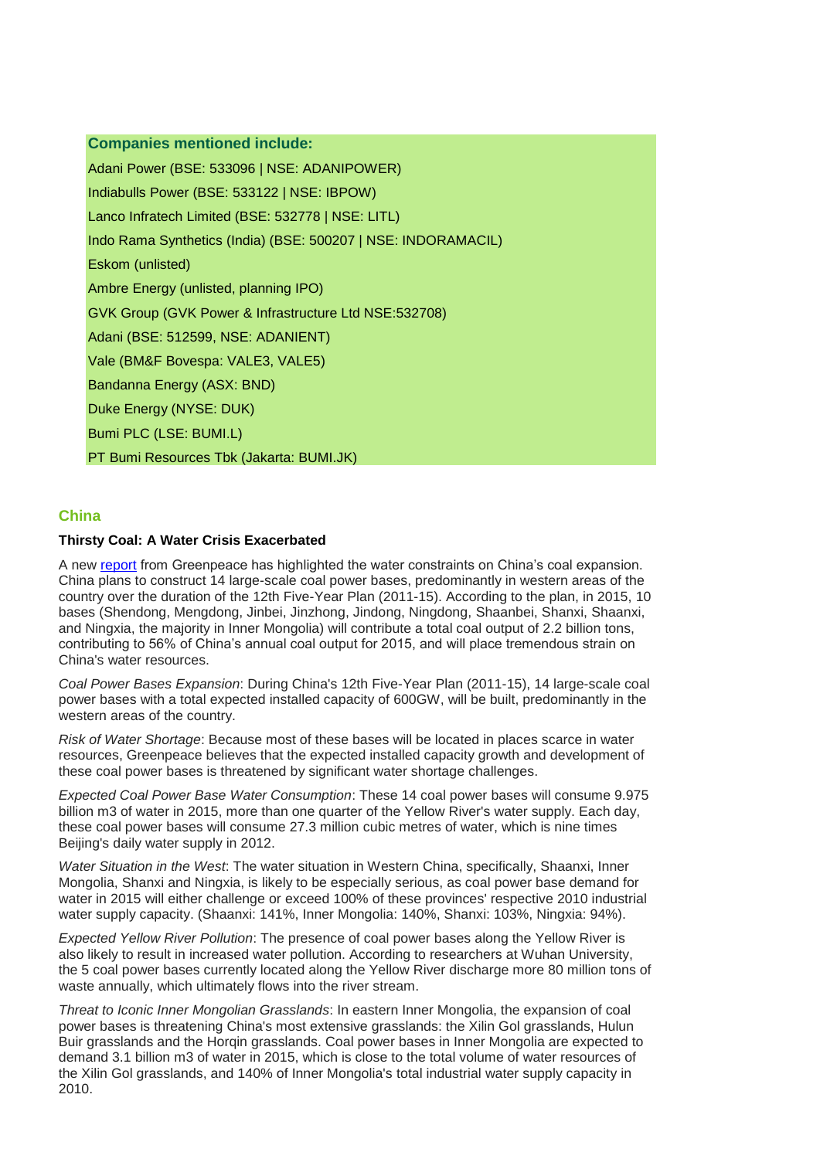# **Companies mentioned include:**

Adani Power (BSE: 533096 | NSE: ADANIPOWER) Indiabulls Power (BSE: 533122 | NSE: IBPOW) Lanco Infratech Limited (BSE: 532778 | NSE: LITL) Indo Rama Synthetics (India) (BSE: 500207 | NSE: INDORAMACIL) Eskom (unlisted) Ambre Energy (unlisted, planning IPO) GVK Group (GVK Power & Infrastructure Ltd NSE:532708) Adani (BSE: 512599, NSE: ADANIENT) Vale (BM&F Bovespa: VALE3, VALE5) Bandanna Energy (ASX: BND) Duke Energy (NYSE: DUK) Bumi PLC (LSE: BUMI.L) PT Bumi Resources Tbk (Jakarta: BUMI.JK)

# **China**

# **Thirsty Coal: A Water Crisis Exacerbated**

A new [report](http://www.greenpeace.org/eastasia/publications/reports/climate-energy/2012/thirsty-coal-water-crisis/) from Greenpeace has highlighted the water constraints on China's coal expansion. China plans to construct 14 large-scale coal power bases, predominantly in western areas of the country over the duration of the 12th Five-Year Plan (2011-15). According to the plan, in 2015, 10 bases (Shendong, Mengdong, Jinbei, Jinzhong, Jindong, Ningdong, Shaanbei, Shanxi, Shaanxi, and Ningxia, the majority in Inner Mongolia) will contribute a total coal output of 2.2 billion tons, contributing to 56% of China's annual coal output for 2015, and will place tremendous strain on China's water resources.

*Coal Power Bases Expansion*: During China's 12th Five-Year Plan (2011-15), 14 large-scale coal power bases with a total expected installed capacity of 600GW, will be built, predominantly in the western areas of the country.

*Risk of Water Shortage*: Because most of these bases will be located in places scarce in water resources, Greenpeace believes that the expected installed capacity growth and development of these coal power bases is threatened by significant water shortage challenges.

*Expected Coal Power Base Water Consumption*: These 14 coal power bases will consume 9.975 billion m3 of water in 2015, more than one quarter of the Yellow River's water supply. Each day, these coal power bases will consume 27.3 million cubic metres of water, which is nine times Beijing's daily water supply in 2012.

*Water Situation in the West*: The water situation in Western China, specifically, Shaanxi, Inner Mongolia, Shanxi and Ningxia, is likely to be especially serious, as coal power base demand for water in 2015 will either challenge or exceed 100% of these provinces' respective 2010 industrial water supply capacity. (Shaanxi: 141%, Inner Mongolia: 140%, Shanxi: 103%, Ningxia: 94%).

*Expected Yellow River Pollution*: The presence of coal power bases along the Yellow River is also likely to result in increased water pollution. According to researchers at Wuhan University, the 5 coal power bases currently located along the Yellow River discharge more 80 million tons of waste annually, which ultimately flows into the river stream.

*Threat to Iconic Inner Mongolian Grasslands*: In eastern Inner Mongolia, the expansion of coal power bases is threatening China's most extensive grasslands: the Xilin Gol grasslands, Hulun Buir grasslands and the Horqin grasslands. Coal power bases in Inner Mongolia are expected to demand 3.1 billion m3 of water in 2015, which is close to the total volume of water resources of the Xilin Gol grasslands, and 140% of Inner Mongolia's total industrial water supply capacity in 2010.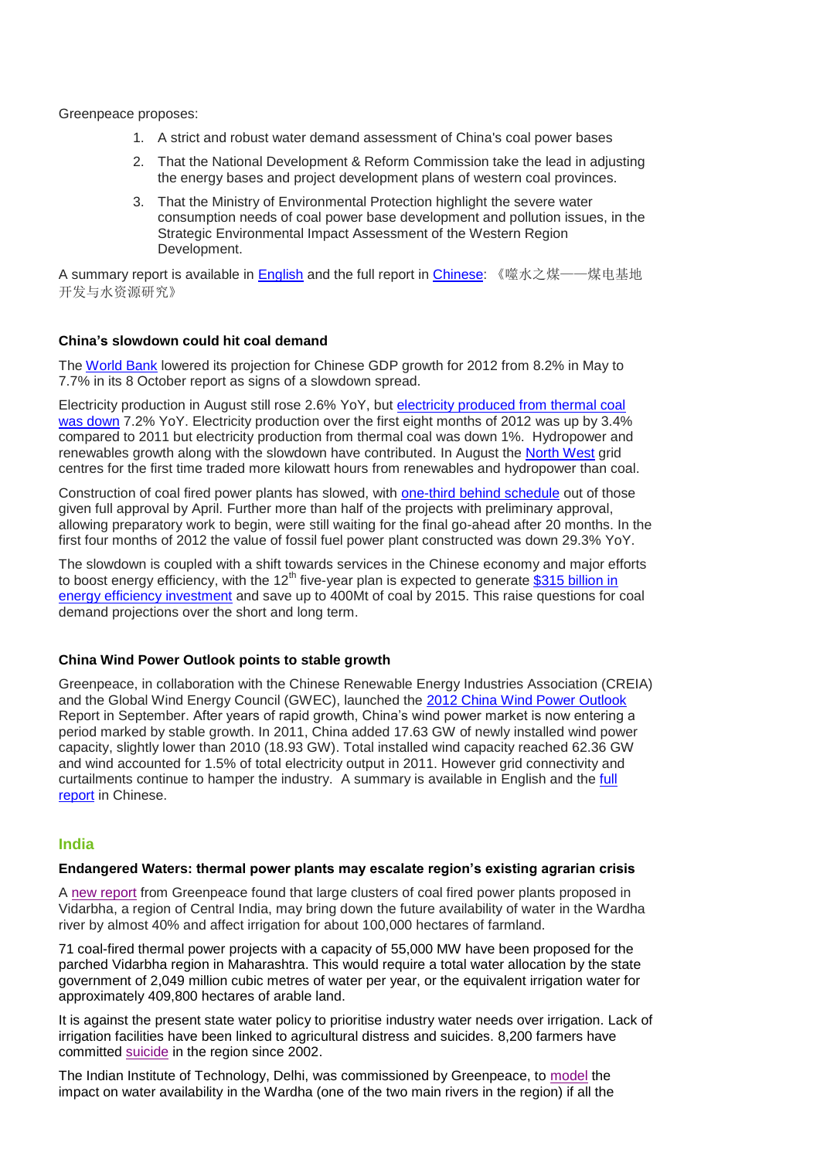Greenpeace proposes:

- 1. A strict and robust water demand assessment of China's coal power bases
- 2. That the National Development & Reform Commission take the lead in adjusting the energy bases and project development plans of western coal provinces.
- 3. That the Ministry of Environmental Protection highlight the severe water consumption needs of coal power base development and pollution issues, in the Strategic Environmental Impact Assessment of the Western Region Development.

A summary report is available in [English](http://www.greenpeace.org/eastasia/publications/reports/climate-energy/2012/thirsty-coal-water-crisis) and the full report in [Chinese:](http://www.greenpeace.org/china/zh/news/releases/climate-energy/2012/08/coal-west) 《噬水之煤——煤电基地 开发与水资源研究》

# **China's slowdown could hit coal demand**

The [World Bank](http://www.worldbank.org/content/dam/Worldbank/document/EAP-Data-Monitor-October-2012.pdf) lowered its projection for Chinese GDP growth for 2012 from 8.2% in May to 7.7% in its 8 October report as signs of a slowdown spread.

Electricity production in August still rose 2.6% YoY, but [electricity produced from thermal coal](http://www.smh.com.au/business/china/china-turning-green-a-threat-to-coal-20120914-25w5s.html) [was down](http://www.smh.com.au/business/china/china-turning-green-a-threat-to-coal-20120914-25w5s.html) 7.2% YoY. Electricity production over the first eight months of 2012 was up by 3.4% compared to 2011 but electricity production from thermal coal was down 1%. Hydropower and renewables growth along with the slowdown have contributed. In August the [North West](http://www.cec.org.cn/zdlhuiyuandongtai/dianwang/2012-09-17/90767.html) grid centres for the first time traded more kilowatt hours from renewables and hydropower than coal.

Construction of coal fired power plants has slowed, with [one-third behind schedule](http://www.chinadialogue.net/article/show/single/en/5161-One-third-of-China-s-coal-plants-behind-schedule) out of those given full approval by April. Further more than half of the projects with preliminary approval, allowing preparatory work to begin, were still waiting for the final go-ahead after 20 months. In the first four months of 2012 the value of fossil fuel power plant constructed was down 29.3% YoY.

The slowdown is coupled with a shift towards services in the Chinese economy and major efforts to boost energy efficiency, with the  $12<sup>th</sup>$  five-year plan is expected to generate \$315 billion in [energy efficiency investment](http://www.chinadaily.com.cn/business/2012-07/05/content_15551005.htm) and save up to 400Mt of coal by 2015. This raise questions for coal demand projections over the short and long term.

#### **China Wind Power Outlook points to stable growth**

Greenpeace, in collaboration with the Chinese Renewable Energy Industries Association (CREIA) and the Global Wind Energy Council (GWEC), launched the [2012 China Wind Power Outlook](http://www.greenpeace.org/eastasia/publications/reports/climate-energy/2012/wind-energy-report-2012/) Report in September. After years of rapid growth, China's wind power market is now entering a period marked by stable growth. In 2011, China added 17.63 GW of newly installed wind power capacity, slightly lower than 2010 (18.93 GW). Total installed wind capacity reached 62.36 GW and wind accounted for 1.5% of total electricity output in 2011. However grid connectivity and curtailments continue to hamper the industry. A summary is available in English and the [full](http://www.greenpeace.org/eastasia/publications/reports/climate-energy/2012/wind-energy-report-2012/)  [report](http://www.greenpeace.org/eastasia/publications/reports/climate-energy/2012/wind-energy-report-2012/) in Chinese.

# **India**

#### **Endangered Waters: thermal power plants may escalate region's existing agrarian crisis**

A [new report](http://www.greenpeace.org/international/en/news/features/Thirsty-coal-makes-hungry-people/) from Greenpeace found that large clusters of coal fired power plants proposed in Vidarbha, a region of Central India, may bring down the future availability of water in the Wardha river by almost 40% and affect irrigation for about 100,000 hectares of farmland.

71 coal-fired thermal power projects with a capacity of 55,000 MW have been proposed for the parched Vidarbha region in Maharashtra. This would require a total water allocation by the state government of 2,049 million cubic metres of water per year, or the equivalent irrigation water for approximately 409,800 hectares of arable land.

It is against the present state water policy to prioritise industry water needs over irrigation. Lack of irrigation facilities have been linked to agricultural distress and suicides. 8,200 farmers have committed [suicide](http://www.tehelka.com/story_main53.asp?filename=Ne220912power.asp) in the region since 2002.

The Indian Institute of Technology, Delhi, was commissioned by Greenpeace, to [model](http://www.greenpeace.org/india/Global/india/report/Impact-of-water-resources-projects%E2%80%93case-study-of-wardha-technical-report.pdf) the impact on water availability in the Wardha (one of the two main rivers in the region) if all the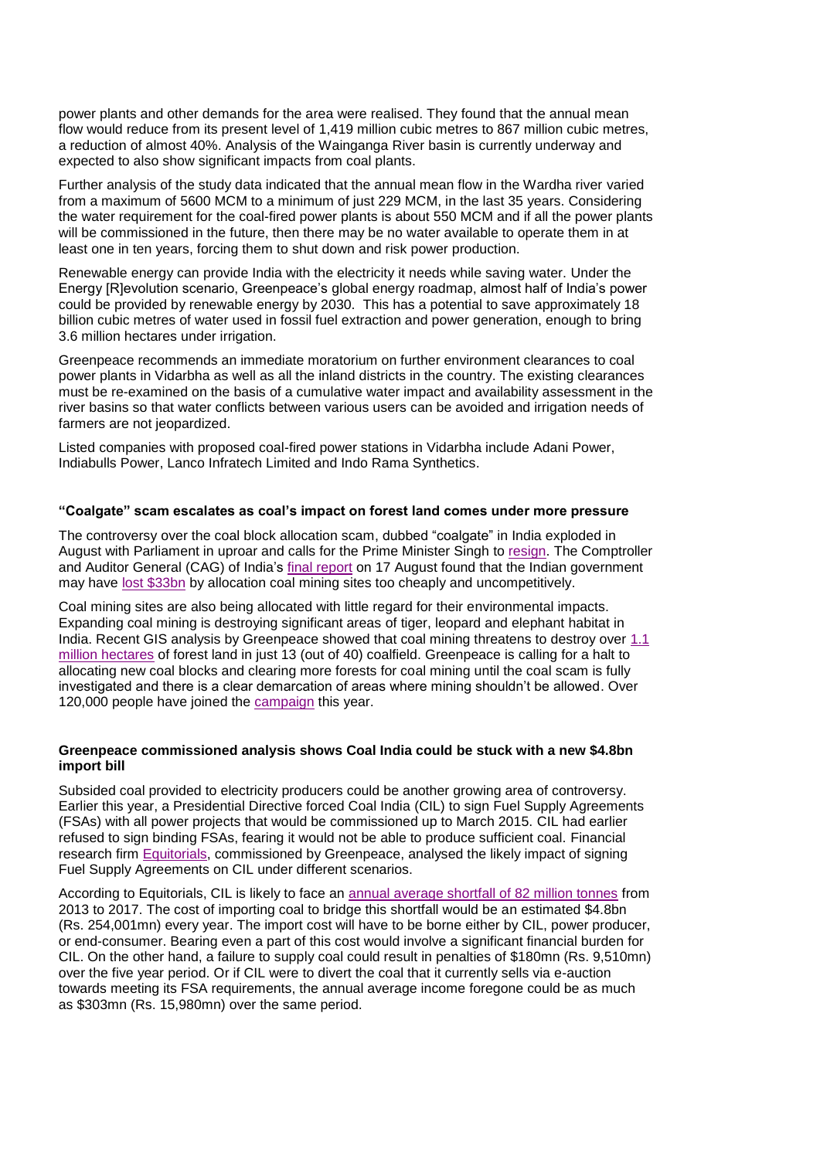power plants and other demands for the area were realised. They found that the annual mean flow would reduce from its present level of 1,419 million cubic metres to 867 million cubic metres, a reduction of almost 40%. Analysis of the Wainganga River basin is currently underway and expected to also show significant impacts from coal plants.

Further analysis of the study data indicated that the annual mean flow in the Wardha river varied from a maximum of 5600 MCM to a minimum of just 229 MCM, in the last 35 years. Considering the water requirement for the coal-fired power plants is about 550 MCM and if all the power plants will be commissioned in the future, then there may be no water available to operate them in at least one in ten years, forcing them to shut down and risk power production.

Renewable energy can provide India with the electricity it needs while saving water. Under the Energy [R]evolution scenario, Greenpeace's global energy roadmap, almost half of India's power could be provided by renewable energy by 2030. This has a potential to save approximately 18 billion cubic metres of water used in fossil fuel extraction and power generation, enough to bring 3.6 million hectares under irrigation.

Greenpeace recommends an immediate moratorium on further environment clearances to coal power plants in Vidarbha as well as all the inland districts in the country. The existing clearances must be re-examined on the basis of a cumulative water impact and availability assessment in the river basins so that water conflicts between various users can be avoided and irrigation needs of farmers are not jeopardized.

Listed companies with proposed coal-fired power stations in Vidarbha include Adani Power, Indiabulls Power, Lanco Infratech Limited and Indo Rama Synthetics.

# **"Coalgate" scam escalates as coal's impact on forest land comes under more pressure**

The controversy over the coal block allocation scam, dubbed "coalgate" in India exploded in August with Parliament in uproar and calls for the Prime Minister Singh to [resign.](http://in.reuters.com/article/2012/08/27/pm-manmohan-singh-coalgate-india-idINDEE87Q08K20120827) The Comptroller and Auditor General (CAG) of India's [final report](http://saiindia.gov.in/english/home/Our_Products/Audit_Report/Government_Wise/union_audit/recent_reports/union_performance/2012_2013/Commercial/Report_No_7/Report_No_7.html) on 17 August found that the Indian government may have [lost \\$33bn](http://www.ft.com/intl/cms/s/0/4df682f4-e869-11e1-b724-00144feab49a.html#axzz28pBlt1yY) by allocation coal mining sites too cheaply and uncompetitively.

Coal mining sites are also being allocated with little regard for their environmental impacts. Expanding coal mining is destroying significant areas of tiger, leopard and elephant habitat in India. Recent GIS analysis by Greenpeace showed that coal mining threatens to destroy over 1.1 [million hectares](http://www.greenpeace.org/india/Global/india/report/How-Coal-mining-is-Trashing-Tigerland.pdf) of forest land in just 13 (out of 40) coalfield. Greenpeace is calling for a halt to allocating new coal blocks and clearing more forests for coal mining until the coal scam is fully investigated and there is a clear demarcation of areas where mining shouldn't be allowed. Over 120,000 people have joined the [campaign](http://www.junglistan.org/) this year.

# **Greenpeace commissioned analysis shows Coal India could be stuck with a new \$4.8bn import bill**

Subsided coal provided to electricity producers could be another growing area of controversy. Earlier this year, a Presidential Directive forced Coal India (CIL) to sign Fuel Supply Agreements (FSAs) with all power projects that would be commissioned up to March 2015. CIL had earlier refused to sign binding FSAs, fearing it would not be able to produce sufficient coal. Financial research firm [Equitorials,](http://www.greenpeace.org/india/en/publications/Study-of-Impact-of-the-Presidential-Directive-to-Coal-India/) commissioned by Greenpeace, analysed the likely impact of signing Fuel Supply Agreements on CIL under different scenarios.

According to Equitorials, CIL is likely to face an [annual average shortfall of 82 million tonnes](http://www.greenpeace.org/india/Global/india/report/Study-of-Impact-of-the-Presidential-Directive-to-Coal-India.pdf) from 2013 to 2017. The cost of importing coal to bridge this shortfall would be an estimated \$4.8bn (Rs. 254,001mn) every year. The import cost will have to be borne either by CIL, power producer, or end-consumer. Bearing even a part of this cost would involve a significant financial burden for CIL. On the other hand, a failure to supply coal could result in penalties of \$180mn (Rs. 9,510mn) over the five year period. Or if CIL were to divert the coal that it currently sells via e-auction towards meeting its FSA requirements, the annual average income foregone could be as much as \$303mn (Rs. 15,980mn) over the same period.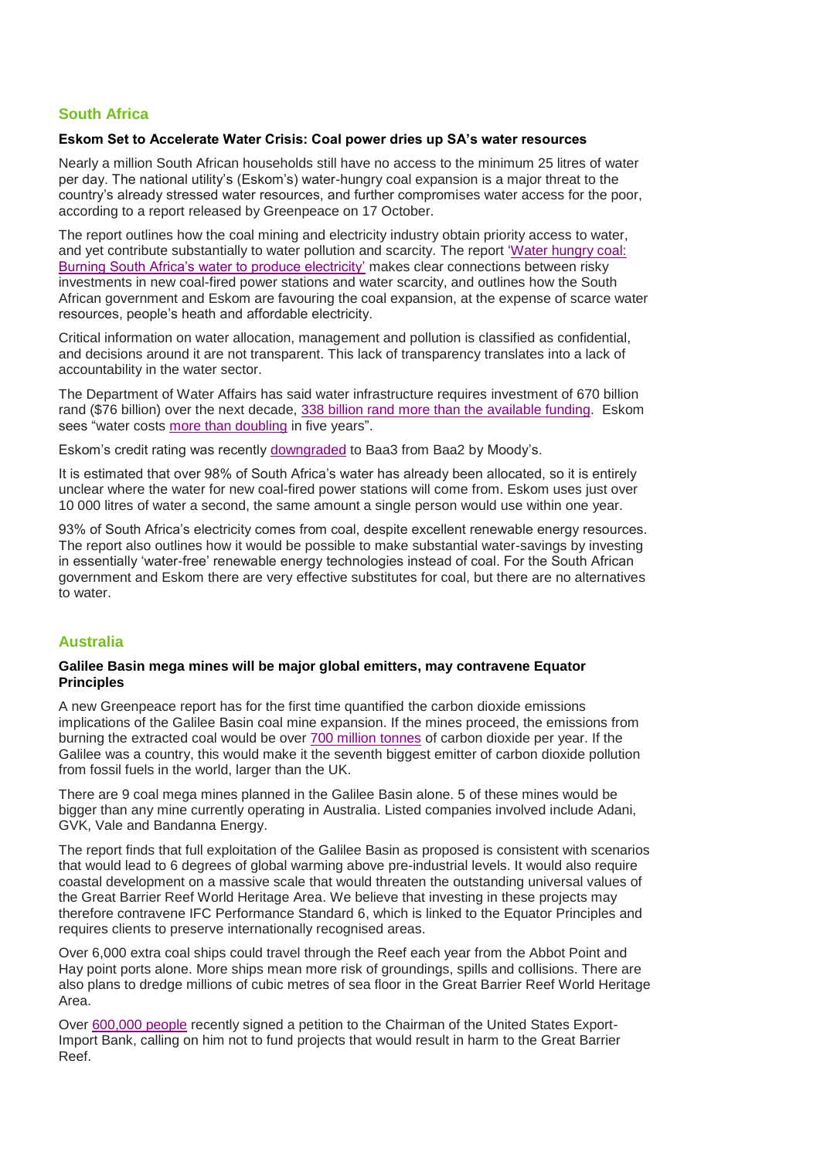# **South Africa**

#### **Eskom Set to Accelerate Water Crisis: Coal power dries up SA's water resources**

Nearly a million South African households still have no access to the minimum 25 litres of water per day. The national utility's (Eskom's) water-hungry coal expansion is a major threat to the country's already stressed water resources, and further compromises water access for the poor, according to a report released by Greenpeace on 17 October.

The report outlines how the coal mining and electricity industry obtain priority access to water, and yet contribute substantially to water pollution and scarcity. The report ['Water hungry coal:](http://www.greenpeace.org/africa/en/News/news/Eskom-Accelerates-Looming-Water-Crisis/)  [Burning South Africa's water to produce electricity'](http://www.greenpeace.org/africa/en/News/news/Eskom-Accelerates-Looming-Water-Crisis/) makes clear connections between risky investments in new coal-fired power stations and water scarcity, and outlines how the South African government and Eskom are favouring the coal expansion, at the expense of scarce water resources, people's heath and affordable electricity.

Critical information on water allocation, management and pollution is classified as confidential, and decisions around it are not transparent. This lack of transparency translates into a lack of accountability in the water sector.

The Department of Water Affairs has said water infrastructure requires investment of 670 billion rand (\$76 billion) over the next decade, [338 billion rand more than the available funding.](http://www.businessweek.com/news/2012-10-15/south-africas-40-billion-water-gap-threatens-economy) Eskom sees "water costs [more than doubling](http://www.businessweek.com/news/2012-10-15/south-africas-40-billion-water-gap-threatens-economy) in five years".

Eskom's credit rating was recently [downgraded](http://www.iol.co.za/business/business-news/eskom-acknowledges-moody-s-downgrade-1.1395903#.UH_OuW_MjgV) to Baa3 from Baa2 by Moody's.

It is estimated that over 98% of South Africa's water has already been allocated, so it is entirely unclear where the water for new coal-fired power stations will come from. Eskom uses just over 10 000 litres of water a second, the same amount a single person would use within one year.

93% of South Africa's electricity comes from coal, despite excellent renewable energy resources. The report also outlines how it would be possible to make substantial water-savings by investing in essentially 'water-free' renewable energy technologies instead of coal. For the South African government and Eskom there are very effective substitutes for coal, but there are no alternatives to water.

# **Australia**

#### **Galilee Basin mega mines will be major global emitters, may contravene Equator Principles**

A new Greenpeace report has for the first time quantified the carbon dioxide emissions implications of the Galilee Basin coal mine expansion. If the mines proceed, the emissions from burning the extracted coal would be over [700 million tonnes](http://www.greenpeace.org/australia/en/news/climate/cooking-the-climate-wrecking-the-reef/) of carbon dioxide per year. If the Galilee was a country, this would make it the seventh biggest emitter of carbon dioxide pollution from fossil fuels in the world, larger than the UK.

There are 9 coal mega mines planned in the Galilee Basin alone. 5 of these mines would be bigger than any mine currently operating in Australia. Listed companies involved include Adani, GVK, Vale and Bandanna Energy.

The report finds that full exploitation of the Galilee Basin as proposed is consistent with scenarios that would lead to 6 degrees of global warming above pre-industrial levels. It would also require coastal development on a massive scale that would threaten the outstanding universal values of the Great Barrier Reef World Heritage Area. We believe that investing in these projects may therefore contravene IFC Performance Standard 6, which is linked to the Equator Principles and requires clients to preserve internationally recognised areas.

Over 6,000 extra coal ships could travel through the Reef each year from the Abbot Point and Hay point ports alone. More ships mean more risk of groundings, spills and collisions. There are also plans to dredge millions of cubic metres of sea floor in the Great Barrier Reef World Heritage Area.

Over [600,000 people](http://www.avaaz.org/en/the_great_barrier_coal_mine_global) recently signed a petition to the Chairman of the United States Export-Import Bank, calling on him not to fund projects that would result in harm to the Great Barrier Reef.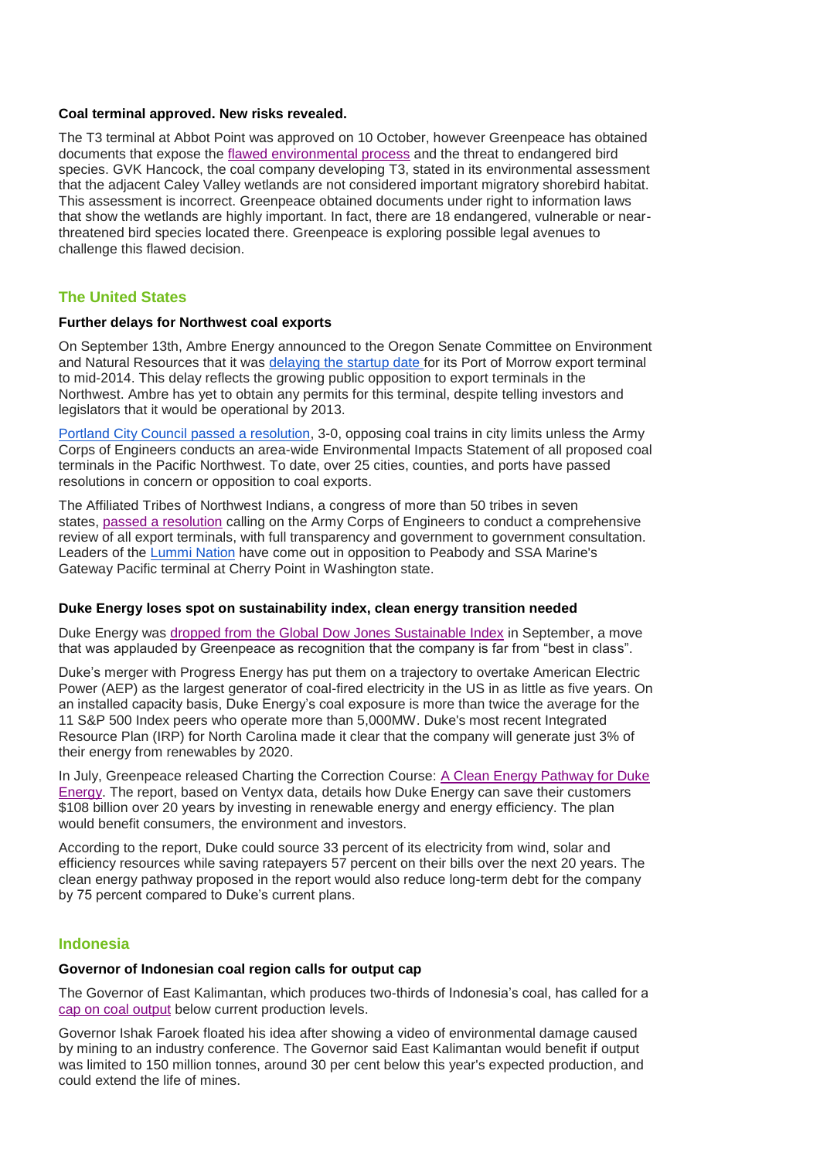# **Coal terminal approved. New risks revealed.**

The T3 terminal at Abbot Point was approved on 10 October, however Greenpeace has obtained documents that expose the [flawed environmental process](http://www.greenpeace.org/australia/en/news/climate/Coal-terminal-approved-New-risks-revealed/) and the threat to endangered bird species. GVK Hancock, the coal company developing T3, stated in its environmental assessment that the adjacent Caley Valley wetlands are not considered important migratory shorebird habitat. This assessment is incorrect. Greenpeace obtained documents under right to information laws that show the wetlands are highly important. In fact, there are 18 endangered, vulnerable or nearthreatened bird species located there. Greenpeace is exploring possible legal avenues to challenge this flawed decision.

# **The United States**

#### **Further delays for Northwest coal exports**

On September 13th, Ambre Energy announced to the Oregon Senate Committee on Environment and Natural Resources that it was [delaying the startup date](http://www.oregonlive.com/environment/index.ssf/2012/09/ambre_energy_delays_projected.html) for its Port of Morrow export terminal to mid-2014. This delay reflects the growing public opposition to export terminals in the Northwest. Ambre has yet to obtain any permits for this terminal, despite telling investors and legislators that it would be operational by 2013.

[Portland City Council passed a resolution,](http://www.oregonlive.com/environment/index.ssf/2012/09/portland_city_council_passes_r.html) 3-0, opposing coal trains in city limits unless the Army Corps of Engineers conducts an area-wide Environmental Impacts Statement of all proposed coal terminals in the Pacific Northwest. To date, over 25 cities, counties, and ports have passed resolutions in concern or opposition to coal exports.

The Affiliated Tribes of Northwest Indians, a congress of more than 50 tribes in seven states, [passed a resolution](http://www.nytimes.com/2012/10/12/us/tribes-add-powerful-voice-against-northwest-coal-plan.html?pagewanted=all&_r=0) calling on the Army Corps of Engineers to conduct a comprehensive review of all export terminals, with full transparency and government to government consultation. Leaders of the [Lummi Nation](http://www.bellinghamherald.com/2012/09/21/2700524/lummi-nation-leaders-come-out.html) have come out in opposition to Peabody and SSA Marine's Gateway Pacific terminal at Cherry Point in Washington state.

#### **Duke Energy loses spot on sustainability index, clean energy transition needed**

Duke Energy was [dropped from the Global Dow Jones Sustainable Index](http://www.greenpeace.org/usa/en/media-center/Duke-Energy-dropped-from-global-Dow-Jones-Sustainability-Index-for-dirty-energy-use/) in September, a move that was applauded by Greenpeace as recognition that the company is far from "best in class".

Duke's merger with Progress Energy has put them on a trajectory to overtake American Electric Power (AEP) as the largest generator of coal-fired electricity in the US in as little as five years. On an installed capacity basis, Duke Energy's coal exposure is more than twice the average for the 11 S&P 500 Index peers who operate more than 5,000MW. Duke's most recent Integrated Resource Plan (IRP) for North Carolina made it clear that the company will generate just 3% of their energy from renewables by 2020.

In July, Greenpeace released Charting the Correction Course: [A Clean Energy Pathway for Duke](http://quitcoal.org/sites/default/files/duke%20pathways%20web-single.pdf)  [Energy.](http://quitcoal.org/sites/default/files/duke%20pathways%20web-single.pdf) The report, based on Ventyx data, details how Duke Energy can save their customers \$108 billion over 20 years by investing in renewable energy and energy efficiency. The plan would benefit consumers, the environment and investors.

According to the report, Duke could source 33 percent of its electricity from wind, solar and efficiency resources while saving ratepayers 57 percent on their bills over the next 20 years. The clean energy pathway proposed in the report would also reduce long-term debt for the company by 75 percent compared to Duke's current plans.

#### **Indonesia**

#### **Governor of Indonesian coal region calls for output cap**

The Governor of East Kalimantan, which produces two-thirds of Indonesia's coal, has called for a [cap on coal output](http://in.reuters.com/article/2012/09/05/indonesia-coal-kalimantan-idINL4E8K52OG20120905) below current production levels.

Governor Ishak Faroek floated his idea after showing a video of environmental damage caused by mining to an industry conference. The Governor said East Kalimantan would benefit if output was limited to 150 million tonnes, around 30 per cent below this year's expected production, and could extend the life of mines.